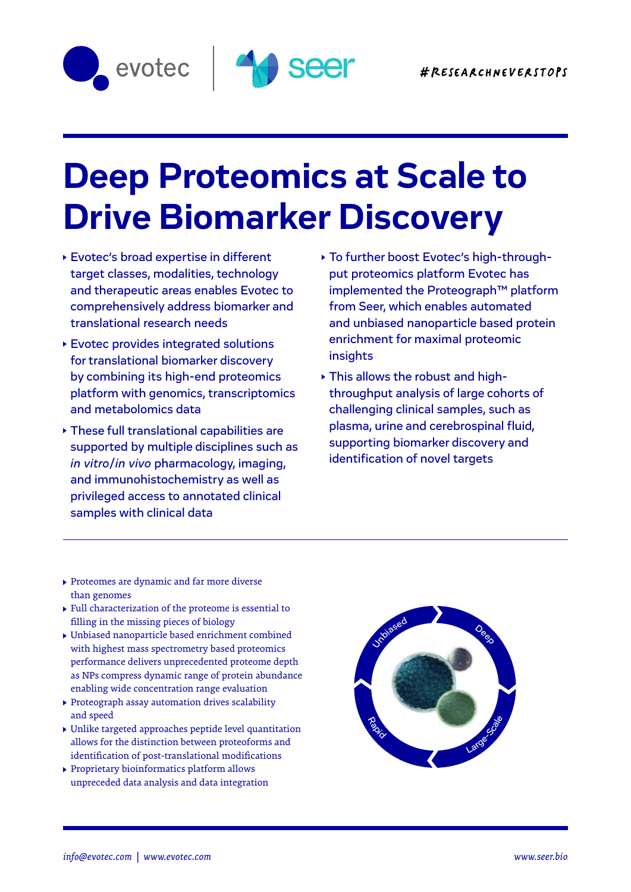



## **Deep Proteomics at Scale to Drive Biomarker Discovery**

Evotec's broad expertise in different target classes, modalities, technology and therapeutic areas enables Evotec to comprehensively address biomarker and translational research needs

 $A_{\rm eff}$  and  $A_{\rm eff}$  and  $A_{\rm eff}$  and  $A_{\rm eff}$  and  $A_{\rm eff}$  and  $A_{\rm eff}$ 

- Evotec provides integrated solutions for translational biomarker discovery by combining its high-end proteomics platform with genomics, transcriptomics and metabolomics data
- These full translational capabilities are supported by multiple disciplines such as *in vitro*/*in vivo* pharmacology, imaging, and immunohistochemistry as well as privileged access to annotated clinical samples with clinical data
- To further boost Evotec's high-throughput proteomics platform Evotec has implemented the Proteograph™ platform from Seer, which enables automated and unbiased nanoparticle based protein enrichment for maximal proteomic insights
- This allows the robust and highthroughput analysis of large cohorts of challenging clinical samples, such as plasma, urine and cerebrospinal fluid, supporting biomarker discovery and identification of novel targets

- Proteomes are dynamic and far more diverse than genomes
- Full characterization of the proteome is essential to filling in the missing pieces of biology
- Unbiased nanoparticle based enrichment combined with highest mass spectrometry based proteomics performance delivers unprecedented proteome depth as NPs compress dynamic range of protein abundance enabling wide concentration range evaluation
- Proteograph assay automation drives scalability and speed
- Unlike targeted approaches peptide level quantitation allows for the distinction between proteoforms and identification of post-translational modifications
- Proprietary bioinformatics platform allows unpreceded data analysis and data integration